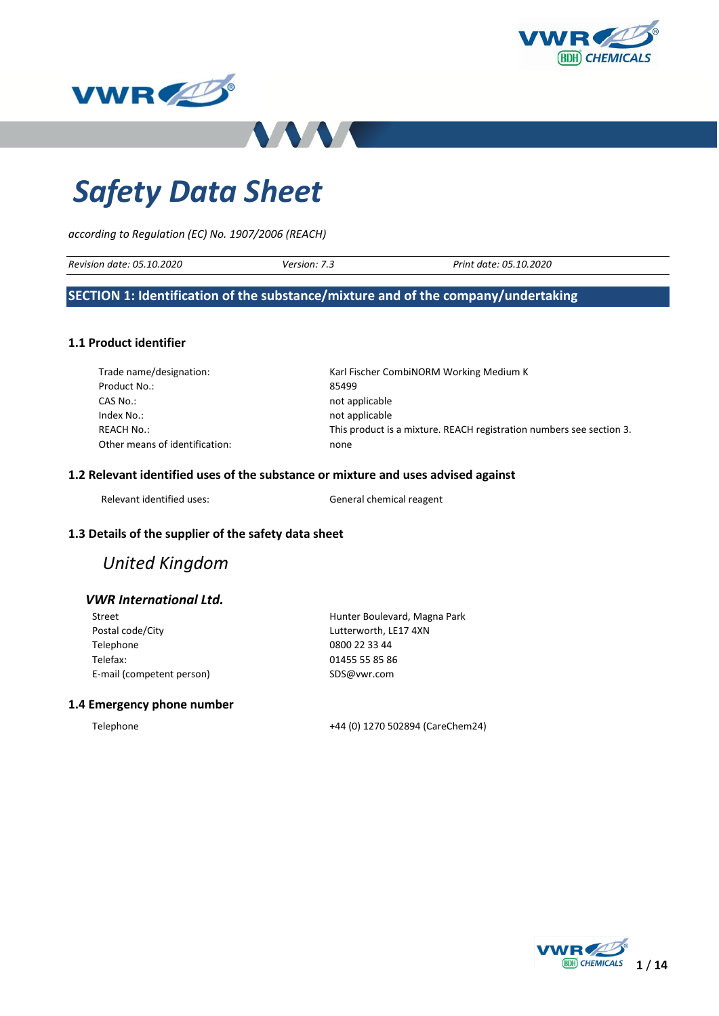





# *Safety Data Sheet*

*according to Regulation (EC) No. 1907/2006 (REACH)*

| Revision date: 05.10.2020 | <i>version: 7.</i> | t date: 05.10.2020<br>Print |
|---------------------------|--------------------|-----------------------------|
|                           |                    |                             |

### **SECTION 1: Identification of the substance/mixture and of the company/undertaking**

### **1.1 Product identifier**

| Trade name/designation:        | Karl Fischer CombiNORM Working Medium K                              |
|--------------------------------|----------------------------------------------------------------------|
| Product No.:                   | 85499                                                                |
| CAS No.:                       | not applicable                                                       |
| Index No.:                     | not applicable                                                       |
| REACH No.:                     | This product is a mixture. REACH registration numbers see section 3. |
| Other means of identification: | none                                                                 |

### **1.2 Relevant identified uses of the substance or mixture and uses advised against**

Relevant identified uses: General chemical reagent

### **1.3 Details of the supplier of the safety data sheet**

# *United Kingdom*

### *VWR International Ltd.*

| Street                    |
|---------------------------|
| Postal code/City          |
| Telephone                 |
| Telefax:                  |
| E-mail (competent person) |

Hunter Boulevard, Magna Park Lutterworth, LE17 4XN 0800 22 33 44 01455 55 85 86 SDS@vwr.com

### **1.4 Emergency phone number**

Telephone +44 (0) 1270 502894 (CareChem24)

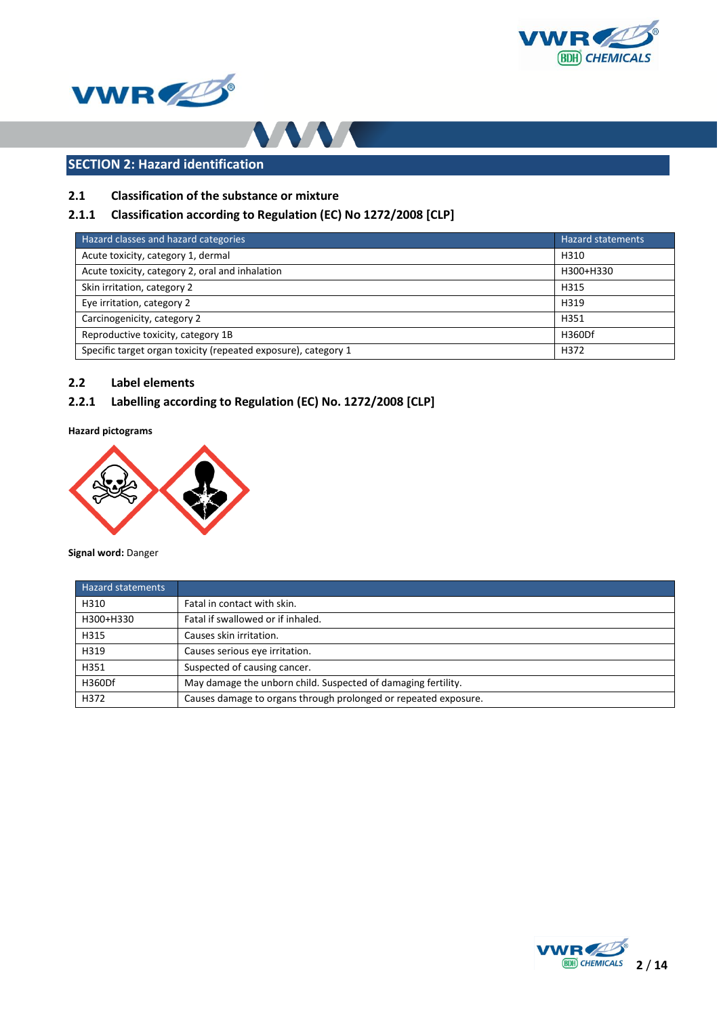





# **SECTION 2: Hazard identification**

### **2.1 Classification of the substance or mixture**

### **2.1.1 Classification according to Regulation (EC) No 1272/2008 [CLP]**

| Hazard classes and hazard categories                           | <b>Hazard statements</b> |
|----------------------------------------------------------------|--------------------------|
| Acute toxicity, category 1, dermal                             | H310                     |
| Acute toxicity, category 2, oral and inhalation                | H300+H330                |
| Skin irritation, category 2                                    | H315                     |
| Eye irritation, category 2                                     | H319                     |
| Carcinogenicity, category 2                                    | H351                     |
| Reproductive toxicity, category 1B                             | H360Df                   |
| Specific target organ toxicity (repeated exposure), category 1 | H372                     |

### **2.2 Label elements**

### **2.2.1 Labelling according to Regulation (EC) No. 1272/2008 [CLP]**

**Hazard pictograms**



**Signal word:** Danger

| <b>Hazard statements</b> |                                                                 |
|--------------------------|-----------------------------------------------------------------|
| H310                     | Fatal in contact with skin.                                     |
| H300+H330                | Fatal if swallowed or if inhaled.                               |
| H315                     | Causes skin irritation.                                         |
| H319                     | Causes serious eye irritation.                                  |
| H351                     | Suspected of causing cancer.                                    |
| H360Df                   | May damage the unborn child. Suspected of damaging fertility.   |
| H372                     | Causes damage to organs through prolonged or repeated exposure. |

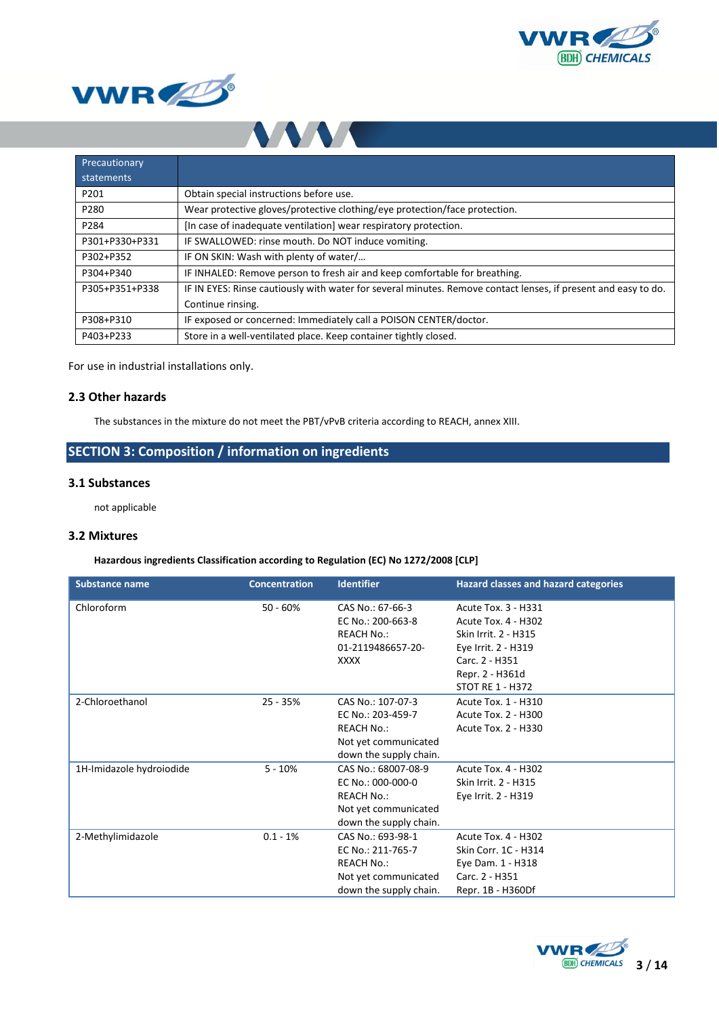





| Precautionary  |                                                                                                                |
|----------------|----------------------------------------------------------------------------------------------------------------|
| statements     |                                                                                                                |
| P201           | Obtain special instructions before use.                                                                        |
| P280           | Wear protective gloves/protective clothing/eye protection/face protection.                                     |
| P284           | [In case of inadequate ventilation] wear respiratory protection.                                               |
| P301+P330+P331 | IF SWALLOWED: rinse mouth. Do NOT induce vomiting.                                                             |
| P302+P352      | IF ON SKIN: Wash with plenty of water/                                                                         |
| P304+P340      | IF INHALED: Remove person to fresh air and keep comfortable for breathing.                                     |
| P305+P351+P338 | IF IN EYES: Rinse cautiously with water for several minutes. Remove contact lenses, if present and easy to do. |
|                | Continue rinsing.                                                                                              |
| P308+P310      | IF exposed or concerned: Immediately call a POISON CENTER/doctor.                                              |
| P403+P233      | Store in a well-ventilated place. Keep container tightly closed.                                               |

For use in industrial installations only.

### **2.3 Other hazards**

The substances in the mixture do not meet the PBT/vPvB criteria according to REACH, annex XIII.

# **SECTION 3: Composition / information on ingredients**

### **3.1 Substances**

not applicable

### **3.2 Mixtures**

### **Hazardous ingredients Classification according to Regulation (EC) No 1272/2008 [CLP]**

| <b>Substance name</b>    | <b>Concentration</b> | <b>Identifier</b>      | <b>Hazard classes and hazard categories</b> |
|--------------------------|----------------------|------------------------|---------------------------------------------|
| Chloroform               | $50 - 60%$           | CAS No.: 67-66-3       | Acute Tox. 3 - H331                         |
|                          |                      | EC No.: 200-663-8      | Acute Tox. 4 - H302                         |
|                          |                      | <b>REACH No.:</b>      | Skin Irrit. 2 - H315                        |
|                          |                      | 01-2119486657-20-      | Eye Irrit. 2 - H319                         |
|                          |                      | <b>XXXX</b>            | Carc. 2 - H351                              |
|                          |                      |                        | Repr. 2 - H361d                             |
|                          |                      |                        | <b>STOT RE 1 - H372</b>                     |
| 2-Chloroethanol          | $25 - 35%$           | CAS No.: 107-07-3      | Acute Tox. 1 - H310                         |
|                          |                      | EC No.: 203-459-7      | Acute Tox. 2 - H300                         |
|                          |                      | <b>REACH No.:</b>      | Acute Tox. 2 - H330                         |
|                          |                      | Not yet communicated   |                                             |
|                          |                      | down the supply chain. |                                             |
| 1H-Imidazole hydroiodide | $5 - 10%$            | CAS No.: 68007-08-9    | <b>Acute Tox. 4 - H302</b>                  |
|                          |                      | EC No.: 000-000-0      | Skin Irrit. 2 - H315                        |
|                          |                      | <b>REACH No.:</b>      | Eye Irrit. 2 - H319                         |
|                          |                      | Not yet communicated   |                                             |
|                          |                      | down the supply chain. |                                             |
| 2-Methylimidazole        | $0.1 - 1\%$          | CAS No.: 693-98-1      | <b>Acute Tox. 4 - H302</b>                  |
|                          |                      | EC No.: 211-765-7      | Skin Corr. 1C - H314                        |
|                          |                      | <b>REACH No.:</b>      | Eye Dam. 1 - H318                           |
|                          |                      | Not yet communicated   | Carc. 2 - H351                              |
|                          |                      | down the supply chain. | Repr. 1B - H360Df                           |

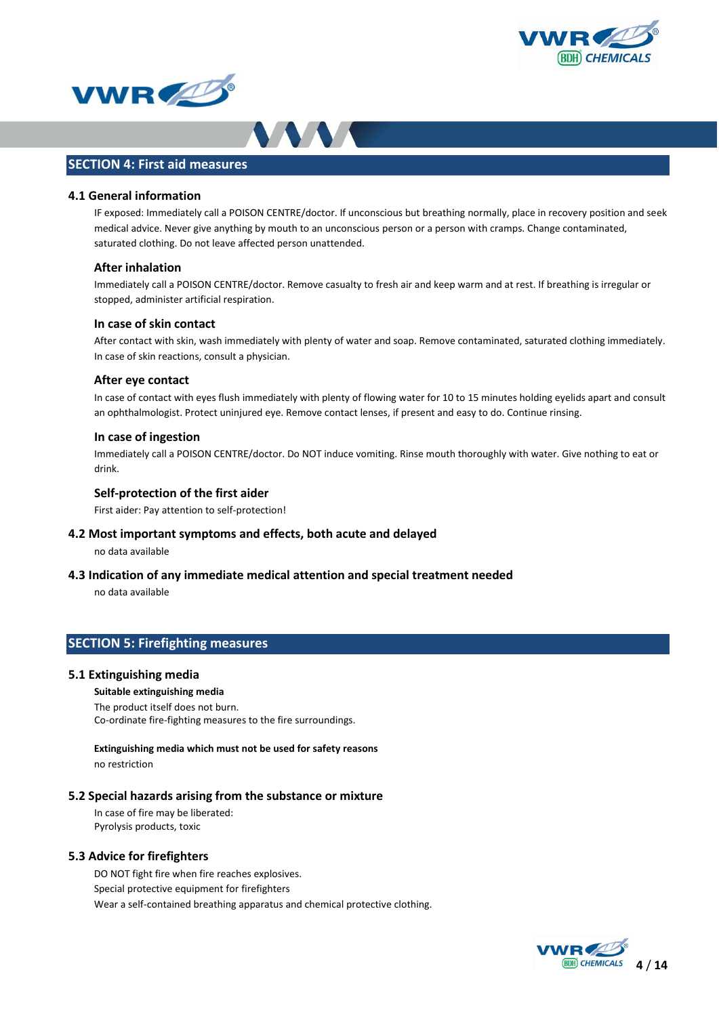





### **SECTION 4: First aid measures**

### **4.1 General information**

IF exposed: Immediately call a POISON CENTRE/doctor. If unconscious but breathing normally, place in recovery position and seek medical advice. Never give anything by mouth to an unconscious person or a person with cramps. Change contaminated, saturated clothing. Do not leave affected person unattended.

### **After inhalation**

Immediately call a POISON CENTRE/doctor. Remove casualty to fresh air and keep warm and at rest. If breathing is irregular or stopped, administer artificial respiration.

#### **In case of skin contact**

After contact with skin, wash immediately with plenty of water and soap. Remove contaminated, saturated clothing immediately. In case of skin reactions, consult a physician.

#### **After eye contact**

In case of contact with eyes flush immediately with plenty of flowing water for 10 to 15 minutes holding eyelids apart and consult an ophthalmologist. Protect uninjured eye. Remove contact lenses, if present and easy to do. Continue rinsing.

### **In case of ingestion**

Immediately call a POISON CENTRE/doctor. Do NOT induce vomiting. Rinse mouth thoroughly with water. Give nothing to eat or drink.

### **Self-protection of the first aider**

First aider: Pay attention to self-protection!

### **4.2 Most important symptoms and effects, both acute and delayed**

no data available

**4.3 Indication of any immediate medical attention and special treatment needed**

no data available

### **SECTION 5: Firefighting measures**

#### **5.1 Extinguishing media**

**Suitable extinguishing media** The product itself does not burn. Co-ordinate fire-fighting measures to the fire surroundings.

**Extinguishing media which must not be used for safety reasons** no restriction

### **5.2 Special hazards arising from the substance or mixture**

In case of fire may be liberated: Pyrolysis products, toxic

### **5.3 Advice for firefighters**

DO NOT fight fire when fire reaches explosives. Special protective equipment for firefighters Wear a self-contained breathing apparatus and chemical protective clothing.

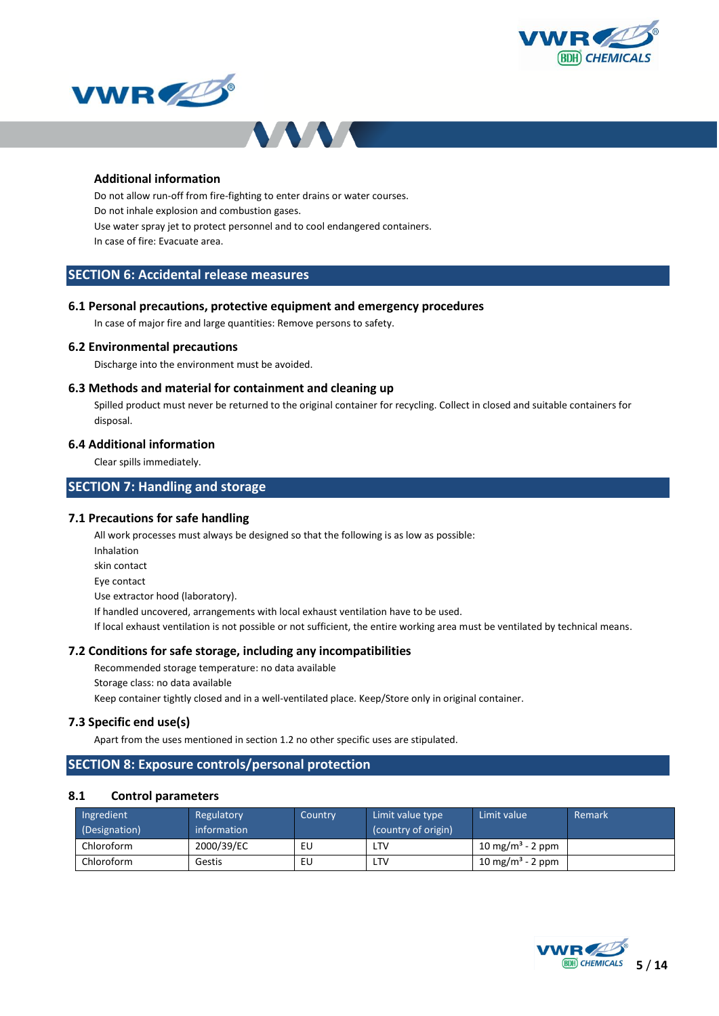





### **Additional information**

Do not allow run-off from fire-fighting to enter drains or water courses. Do not inhale explosion and combustion gases. Use water spray jet to protect personnel and to cool endangered containers. In case of fire: Evacuate area.

### **SECTION 6: Accidental release measures**

### **6.1 Personal precautions, protective equipment and emergency procedures**

In case of major fire and large quantities: Remove persons to safety.

#### **6.2 Environmental precautions**

Discharge into the environment must be avoided.

### **6.3 Methods and material for containment and cleaning up**

Spilled product must never be returned to the original container for recycling. Collect in closed and suitable containers for disposal.

### **6.4 Additional information**

Clear spills immediately.

### **SECTION 7: Handling and storage**

#### **7.1 Precautions for safe handling**

All work processes must always be designed so that the following is as low as possible:

- Inhalation
- skin contact

Eye contact

Use extractor hood (laboratory).

If handled uncovered, arrangements with local exhaust ventilation have to be used.

If local exhaust ventilation is not possible or not sufficient, the entire working area must be ventilated by technical means.

#### **7.2 Conditions for safe storage, including any incompatibilities**

Recommended storage temperature: no data available

Storage class: no data available

Keep container tightly closed and in a well-ventilated place. Keep/Store only in original container.

### **7.3 Specific end use(s)**

Apart from the uses mentioned in section 1.2 no other specific uses are stipulated.

### **SECTION 8: Exposure controls/personal protection**

### **8.1 Control parameters**

| Ingredient<br>(Designation) | Regulatory<br>information | Country | Limit value type<br>(country of origin) | Limit value                  | Remark |
|-----------------------------|---------------------------|---------|-----------------------------------------|------------------------------|--------|
| Chloroform                  | 2000/39/EC                | EU      | LTV                                     | 10 mg/m <sup>3</sup> - 2 ppm |        |
| Chloroform                  | Gestis                    | EU      | LTV                                     | 10 mg/m <sup>3</sup> - 2 ppm |        |

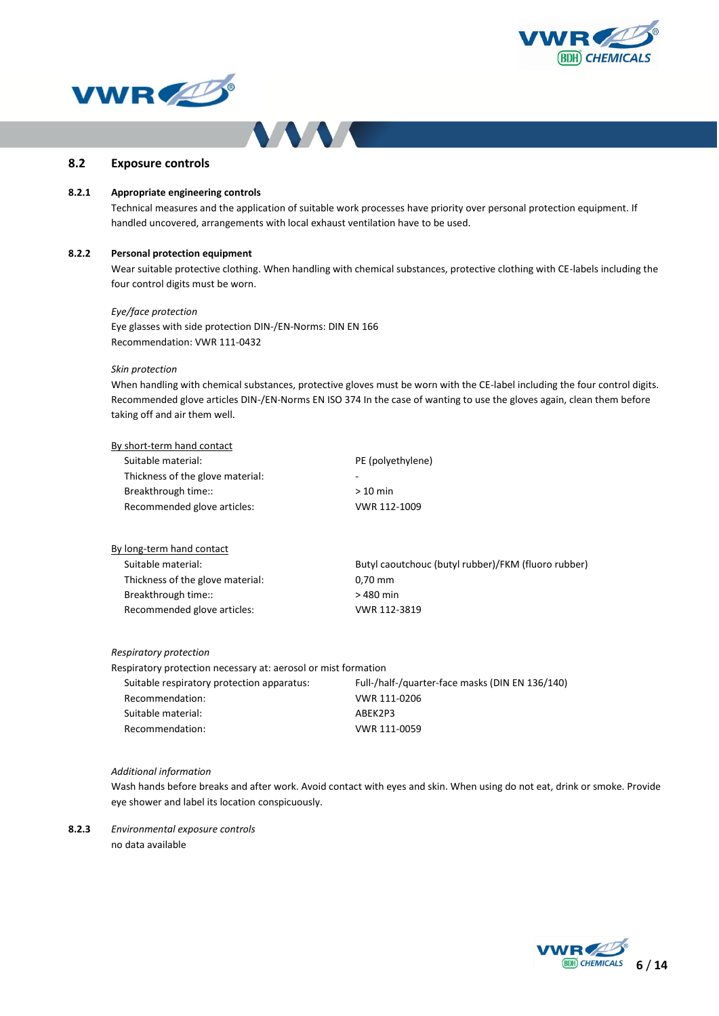





### **8.2 Exposure controls**

### **8.2.1 Appropriate engineering controls**

Technical measures and the application of suitable work processes have priority over personal protection equipment. If handled uncovered, arrangements with local exhaust ventilation have to be used.

#### **8.2.2 Personal protection equipment**

Wear suitable protective clothing. When handling with chemical substances, protective clothing with CE-labels including the four control digits must be worn.

#### *Eye/face protection*

Eye glasses with side protection DIN-/EN-Norms: DIN EN 166 Recommendation: VWR 111-0432

#### *Skin protection*

When handling with chemical substances, protective gloves must be worn with the CE-label including the four control digits. Recommended glove articles DIN-/EN-Norms EN ISO 374 In the case of wanting to use the gloves again, clean them before taking off and air them well.

| By short-term hand contact       |                   |
|----------------------------------|-------------------|
| Suitable material:               | PE (polyethylene) |
| Thickness of the glove material: | -                 |
| Breakthrough time::              | $>10$ min         |
| Recommended glove articles:      | VWR 112-1009      |
|                                  |                   |

| By long-term hand contact        |                                                     |
|----------------------------------|-----------------------------------------------------|
| Suitable material:               | Butyl caoutchouc (butyl rubber)/FKM (fluoro rubber) |
| Thickness of the glove material: | $0.70$ mm                                           |
| Breakthrough time::              | > 480 min                                           |
| Recommended glove articles:      | VWR 112-3819                                        |

#### *Respiratory protection*

Respiratory protection necessary at: aerosol or mist formation

| Suitable respiratory protection apparatus: | Full-/half-/quarter-face masks (DIN EN 136/140) |
|--------------------------------------------|-------------------------------------------------|
| Recommendation:                            | VWR 111-0206                                    |
| Suitable material:                         | ABEK2P3                                         |
| Recommendation:                            | VWR 111-0059                                    |
|                                            |                                                 |

#### *Additional information*

Wash hands before breaks and after work. Avoid contact with eyes and skin. When using do not eat, drink or smoke. Provide eye shower and label its location conspicuously.

**8.2.3** *Environmental exposure controls* no data available

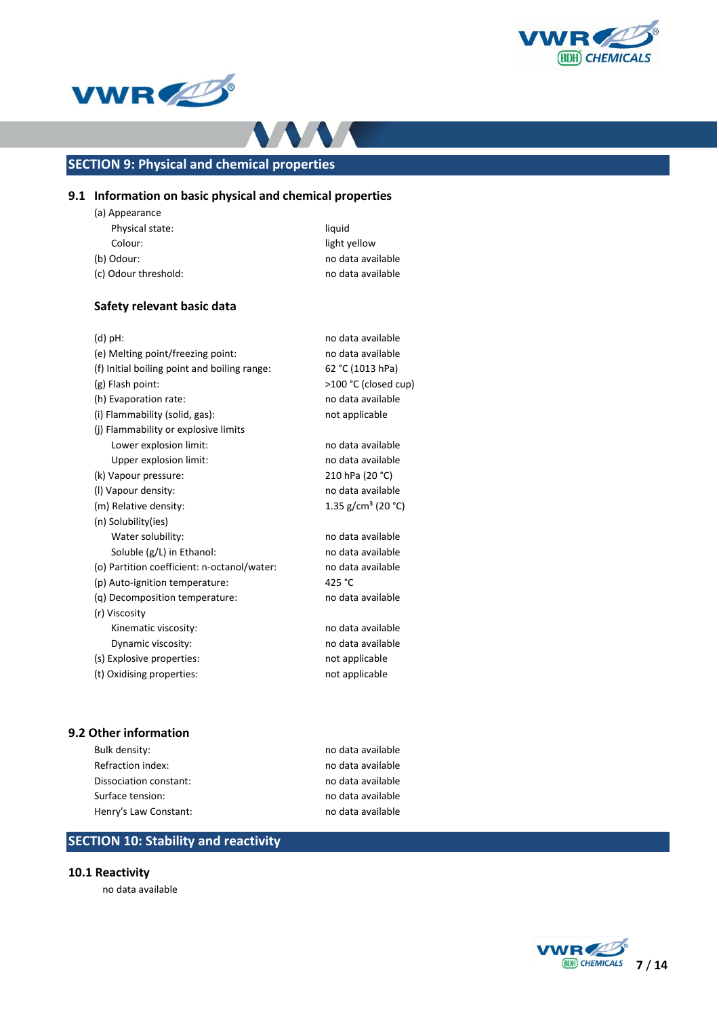





# **SECTION 9: Physical and chemical properties**

### **9.1 Information on basic physical and chemical properties**

| (a) Appearance       |                   |
|----------------------|-------------------|
| Physical state:      | liquid            |
| Colour:              | light yellow      |
| (b) Odour:           | no data available |
| (c) Odour threshold: | no data available |

### **Safety relevant basic data**

| $(d)$ pH:                                    | no data available              |
|----------------------------------------------|--------------------------------|
| (e) Melting point/freezing point:            | no data available              |
| (f) Initial boiling point and boiling range: | 62 °C (1013 hPa)               |
| (g) Flash point:                             | >100 °C (closed cup)           |
| (h) Evaporation rate:                        | no data available              |
| (i) Flammability (solid, gas):               | not applicable                 |
| (j) Flammability or explosive limits         |                                |
| Lower explosion limit:                       | no data available              |
| Upper explosion limit:                       | no data available              |
| (k) Vapour pressure:                         | 210 hPa (20 °C)                |
| (I) Vapour density:                          | no data available              |
| (m) Relative density:                        | 1.35 g/cm <sup>3</sup> (20 °C) |
| (n) Solubility(ies)                          |                                |
| Water solubility:                            | no data available              |
| Soluble (g/L) in Ethanol:                    | no data available              |
| (o) Partition coefficient: n-octanol/water:  | no data available              |
| (p) Auto-ignition temperature:               | 425 °C                         |
| (q) Decomposition temperature:               | no data available              |
| (r) Viscosity                                |                                |
| Kinematic viscosity:                         | no data available              |
| Dynamic viscosity:                           | no data available              |
| (s) Explosive properties:                    | not applicable                 |
| (t) Oxidising properties:                    | not applicable                 |
|                                              |                                |

### **9.2 Other information**

| Bulk density:          |  |
|------------------------|--|
| Refraction index:      |  |
| Dissociation constant: |  |
| Surface tension:       |  |
| Henry's Law Constant:  |  |

no data available no data available no data available no data available no data available

# **SECTION 10: Stability and reactivity**

### **10.1 Reactivity**

no data available

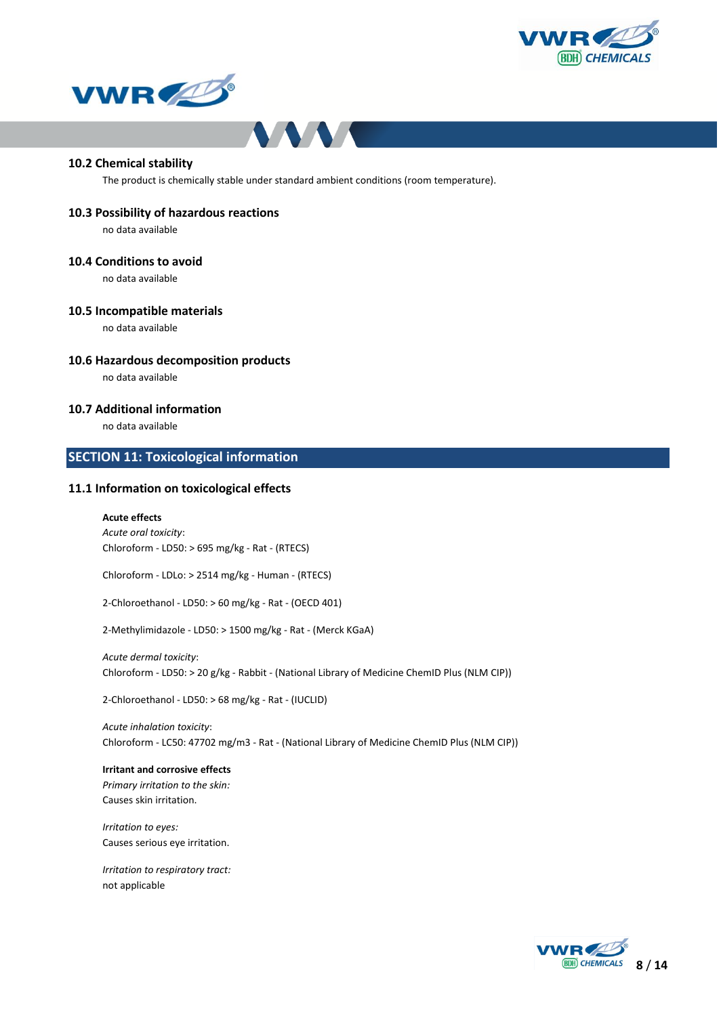





#### **10.2 Chemical stability**

The product is chemically stable under standard ambient conditions (room temperature).

#### **10.3 Possibility of hazardous reactions**

no data available

### **10.4 Conditions to avoid**

no data available

#### **10.5 Incompatible materials**

no data available

### **10.6 Hazardous decomposition products**

no data available

### **10.7 Additional information**

no data available

### **SECTION 11: Toxicological information**

### **11.1 Information on toxicological effects**

#### **Acute effects**

*Acute oral toxicity*: Chloroform - LD50: > 695 mg/kg - Rat - (RTECS)

Chloroform - LDLo: > 2514 mg/kg - Human - (RTECS)

2-Chloroethanol - LD50: > 60 mg/kg - Rat - (OECD 401)

2-Methylimidazole - LD50: > 1500 mg/kg - Rat - (Merck KGaA)

*Acute dermal toxicity*: Chloroform - LD50: > 20 g/kg - Rabbit - (National Library of Medicine ChemID Plus (NLM CIP))

2-Chloroethanol - LD50: > 68 mg/kg - Rat - (IUCLID)

*Acute inhalation toxicity*: Chloroform - LC50: 47702 mg/m3 - Rat - (National Library of Medicine ChemID Plus (NLM CIP))

### **Irritant and corrosive effects** *Primary irritation to the skin:* Causes skin irritation.

*Irritation to eyes:* Causes serious eye irritation.

*Irritation to respiratory tract:* not applicable

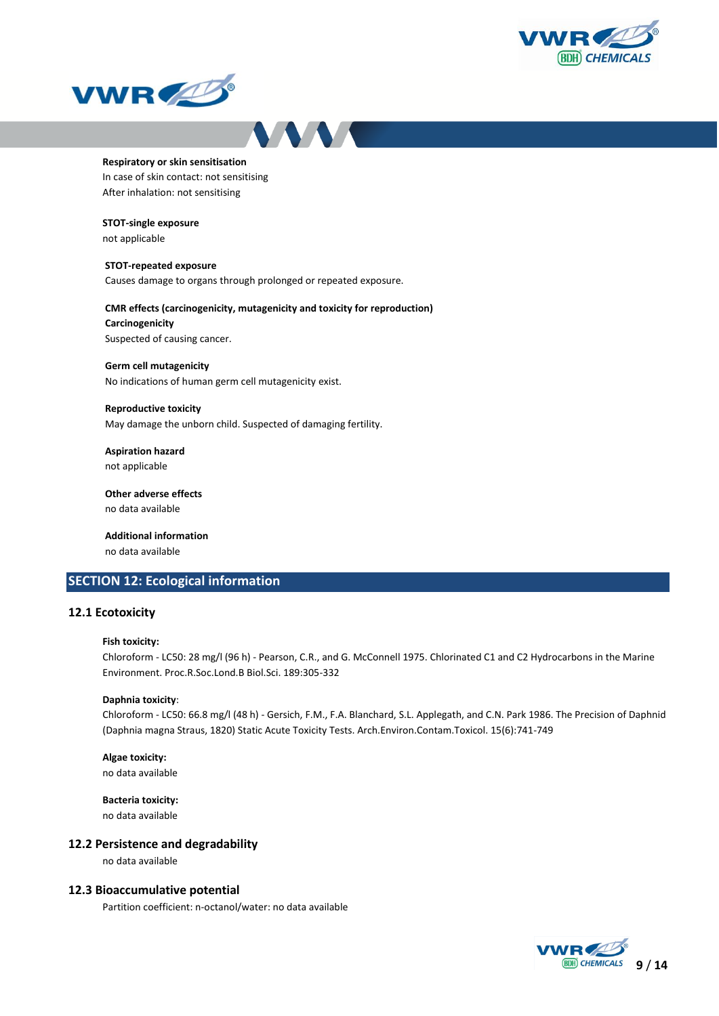





#### **Respiratory or skin sensitisation**

In case of skin contact: not sensitising After inhalation: not sensitising

#### **STOT-single exposure**

not applicable

#### **STOT-repeated exposure**

Causes damage to organs through prolonged or repeated exposure.

### **CMR effects (carcinogenicity, mutagenicity and toxicity for reproduction)**

**Carcinogenicity** Suspected of causing cancer.

#### **Germ cell mutagenicity**

No indications of human germ cell mutagenicity exist.

#### **Reproductive toxicity**

May damage the unborn child. Suspected of damaging fertility.

# **Aspiration hazard**

not applicable

#### **Other adverse effects** no data available

**Additional information** no data available

### **SECTION 12: Ecological information**

### **12.1 Ecotoxicity**

#### **Fish toxicity:**

Chloroform - LC50: 28 mg/l (96 h) - Pearson, C.R., and G. McConnell 1975. Chlorinated C1 and C2 Hydrocarbons in the Marine Environment. Proc.R.Soc.Lond.B Biol.Sci. 189:305-332

#### **Daphnia toxicity**:

Chloroform - LC50: 66.8 mg/l (48 h) - Gersich, F.M., F.A. Blanchard, S.L. Applegath, and C.N. Park 1986. The Precision of Daphnid (Daphnia magna Straus, 1820) Static Acute Toxicity Tests. Arch.Environ.Contam.Toxicol. 15(6):741-749

### **Algae toxicity:**

no data available

**Bacteria toxicity:** no data available

#### **12.2 Persistence and degradability**

no data available

#### **12.3 Bioaccumulative potential**

Partition coefficient: n-octanol/water: no data available

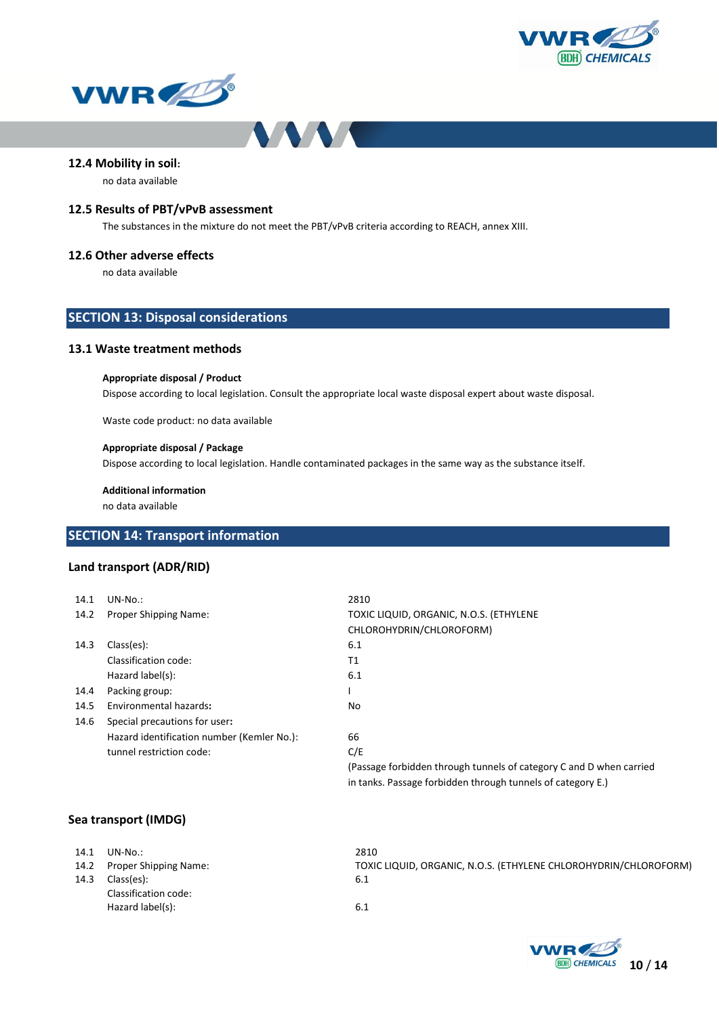





### **12.4 Mobility in soil:**

no data available

### **12.5 Results of PBT/vPvB assessment**

The substances in the mixture do not meet the PBT/vPvB criteria according to REACH, annex XIII.

#### **12.6 Other adverse effects**

no data available

### **SECTION 13: Disposal considerations**

### **13.1 Waste treatment methods**

#### **Appropriate disposal / Product**

Dispose according to local legislation. Consult the appropriate local waste disposal expert about waste disposal.

Waste code product: no data available

### **Appropriate disposal / Package**

Dispose according to local legislation. Handle contaminated packages in the same way as the substance itself.

**Additional information** no data available

### **SECTION 14: Transport information**

### **Land transport (ADR/RID)**

| 14.1 | $UN-No.$ :                                 | 2810                                                                |
|------|--------------------------------------------|---------------------------------------------------------------------|
| 14.2 | Proper Shipping Name:                      | TOXIC LIQUID, ORGANIC, N.O.S. (ETHYLENE                             |
|      |                                            | CHLOROHYDRIN/CHLOROFORM)                                            |
| 14.3 | Class(es):                                 | 6.1                                                                 |
|      | Classification code:                       | Τ1                                                                  |
|      | Hazard label(s):                           | 6.1                                                                 |
| 14.4 | Packing group:                             |                                                                     |
| 14.5 | Environmental hazards:                     | No                                                                  |
| 14.6 | Special precautions for user:              |                                                                     |
|      | Hazard identification number (Kemler No.): | 66                                                                  |
|      | tunnel restriction code:                   | C/E                                                                 |
|      |                                            | (Passage forbidden through tunnels of category C and D when carried |
|      |                                            | in tanks. Passage forbidden through tunnels of category E.)         |

### **Sea transport (IMDG)**

| 14.1<br>14.3 | UN-No.:<br>14.2 Proper Shipping Name:<br>Class(es): | 2810<br>TOXIC LIQUID, ORGANIC, N.O.S. (ETHYLENE CHLOROHYDRIN/CHLOROFORM)<br>-6.1 |
|--------------|-----------------------------------------------------|----------------------------------------------------------------------------------|
|              | Classification code:                                |                                                                                  |
|              | Hazard label(s):                                    | 6.1                                                                              |

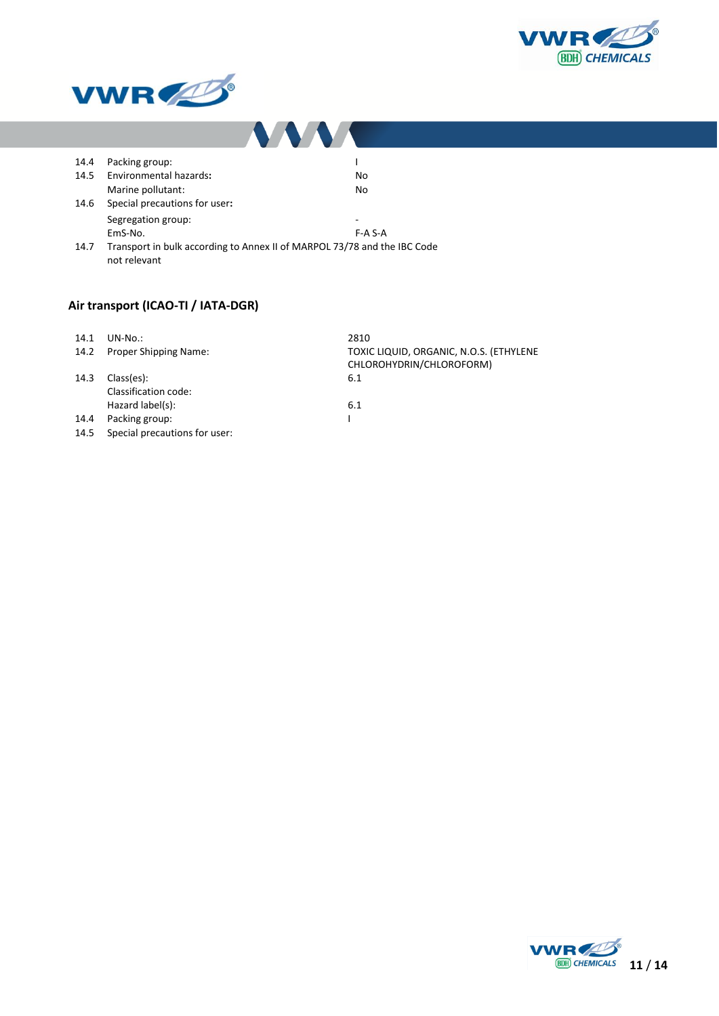



| 14.4 | Packing group:                |                                                                          |  |
|------|-------------------------------|--------------------------------------------------------------------------|--|
| 14.5 | Environmental hazards:        | No                                                                       |  |
|      | Marine pollutant:             | No                                                                       |  |
| 14.6 | Special precautions for user: |                                                                          |  |
|      | Segregation group:            | -                                                                        |  |
|      | EmS-No.                       | $F-A$ S-A                                                                |  |
| 14.7 | not relevant                  | Transport in bulk according to Annex II of MARPOL 73/78 and the IBC Code |  |

# **Air transport (ICAO-TI / IATA-DGR)**

| 14.1 | $UN-No.$                      | 2810                                    |
|------|-------------------------------|-----------------------------------------|
| 14.2 | <b>Proper Shipping Name:</b>  | TOXIC LIQUID, ORGANIC, N.O.S. (ETHYLENE |
|      |                               | CHLOROHYDRIN/CHLOROFORM)                |
| 14.3 | Class(es):                    | 6.1                                     |
|      | Classification code:          |                                         |
|      | Hazard label(s):              | 6.1                                     |
| 14.4 | Packing group:                |                                         |
| 14.5 | Special precautions for user: |                                         |

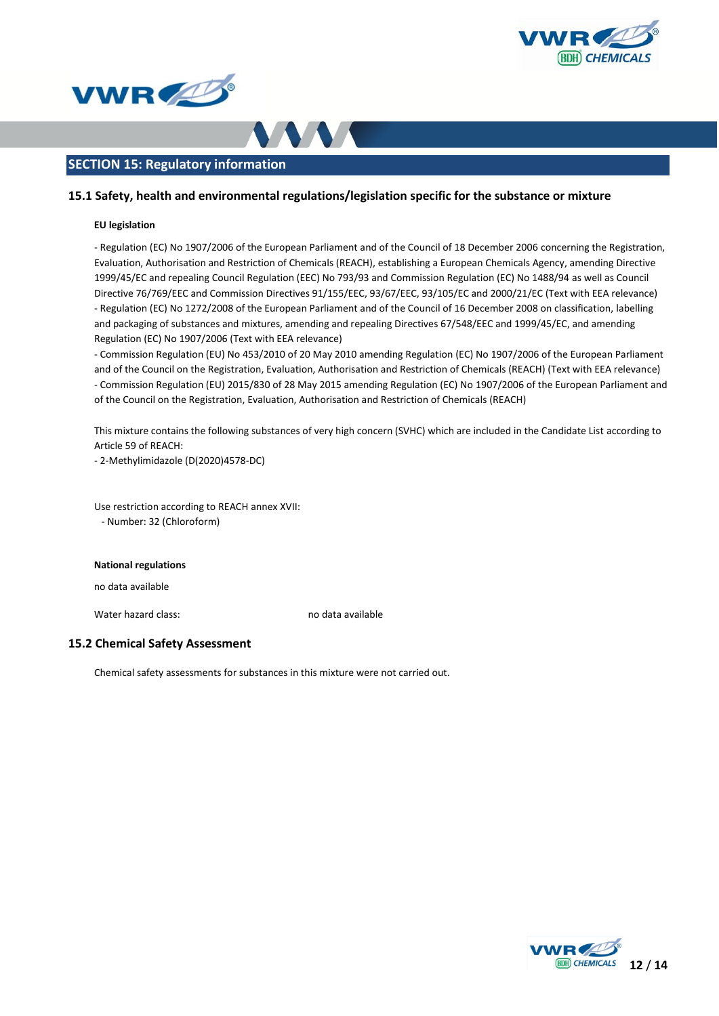





### **SECTION 15: Regulatory information**

### **15.1 Safety, health and environmental regulations/legislation specific for the substance or mixture**

#### **EU legislation**

- Regulation (EC) No 1907/2006 of the European Parliament and of the Council of 18 December 2006 concerning the Registration, Evaluation, Authorisation and Restriction of Chemicals (REACH), establishing a European Chemicals Agency, amending Directive 1999/45/EC and repealing Council Regulation (EEC) No 793/93 and Commission Regulation (EC) No 1488/94 as well as Council Directive 76/769/EEC and Commission Directives 91/155/EEC, 93/67/EEC, 93/105/EC and 2000/21/EC (Text with EEA relevance) - Regulation (EC) No 1272/2008 of the European Parliament and of the Council of 16 December 2008 on classification, labelling and packaging of substances and mixtures, amending and repealing Directives 67/548/EEC and 1999/45/EC, and amending Regulation (EC) No 1907/2006 (Text with EEA relevance)

- Commission Regulation (EU) No 453/2010 of 20 May 2010 amending Regulation (EC) No 1907/2006 of the European Parliament and of the Council on the Registration, Evaluation, Authorisation and Restriction of Chemicals (REACH) (Text with EEA relevance) - Commission Regulation (EU) 2015/830 of 28 May 2015 amending Regulation (EC) No 1907/2006 of the European Parliament and of the Council on the Registration, Evaluation, Authorisation and Restriction of Chemicals (REACH)

This mixture contains the following substances of very high concern (SVHC) which are included in the Candidate List according to Article 59 of REACH:

- 2-Methylimidazole (D(2020)4578-DC)

Use restriction according to REACH annex XVII: - Number: 32 (Chloroform)

#### **National regulations**

no data available

Water hazard class: no data available

### **15.2 Chemical Safety Assessment**

Chemical safety assessments for substances in this mixture were not carried out.

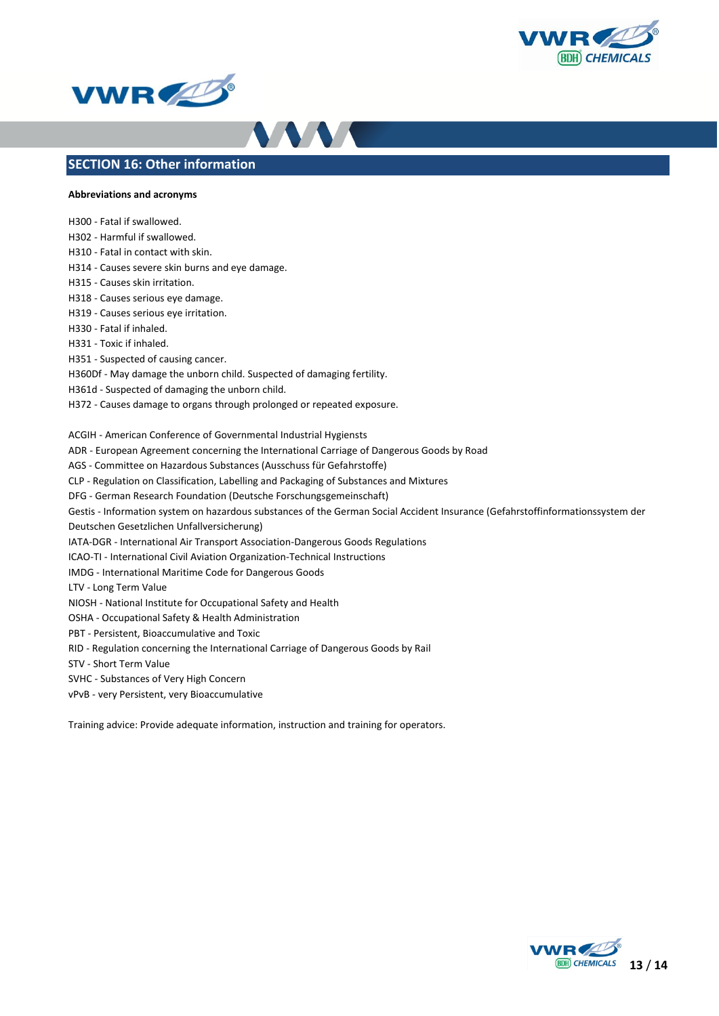





### **SECTION 16: Other information**

### **Abbreviations and acronyms**

H300 - Fatal if swallowed.

- H302 Harmful if swallowed.
- H310 Fatal in contact with skin.
- H314 Causes severe skin burns and eye damage.
- H315 Causes skin irritation.

H318 - Causes serious eye damage.

- H319 Causes serious eye irritation.
- H330 Fatal if inhaled.
- H331 Toxic if inhaled.

H351 - Suspected of causing cancer.

- H360Df May damage the unborn child. Suspected of damaging fertility.
- H361d Suspected of damaging the unborn child.
- H372 Causes damage to organs through prolonged or repeated exposure.

ACGIH - American Conference of Governmental Industrial Hygiensts

- ADR European Agreement concerning the International Carriage of Dangerous Goods by Road
- AGS Committee on Hazardous Substances (Ausschuss für Gefahrstoffe)
- CLP Regulation on Classification, Labelling and Packaging of Substances and Mixtures
- DFG German Research Foundation (Deutsche Forschungsgemeinschaft)
- Gestis Information system on hazardous substances of the German Social Accident Insurance (Gefahrstoffinformationssystem der
- Deutschen Gesetzlichen Unfallversicherung)
- IATA-DGR International Air Transport Association-Dangerous Goods Regulations
- ICAO-TI International Civil Aviation Organization-Technical Instructions
- IMDG International Maritime Code for Dangerous Goods
- LTV Long Term Value
- NIOSH National Institute for Occupational Safety and Health
- OSHA Occupational Safety & Health Administration
- PBT Persistent, Bioaccumulative and Toxic
- RID Regulation concerning the International Carriage of Dangerous Goods by Rail
- STV Short Term Value
- SVHC Substances of Very High Concern
- vPvB very Persistent, very Bioaccumulative

Training advice: Provide adequate information, instruction and training for operators.